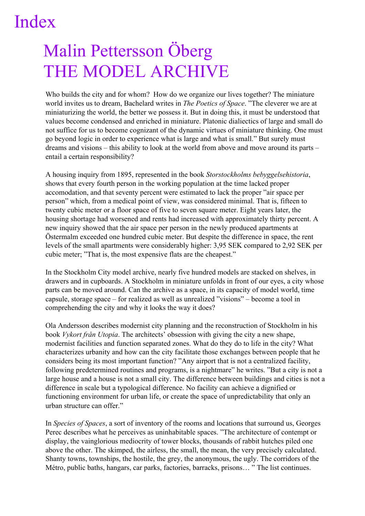## Index

# Malin Pettersson Öberg THE MODEL ARCHIVE

Who builds the city and for whom? How do we organize our lives together? The miniature world invites us to dream, Bachelard writes in *The Poetics of Space*. "The cleverer we are at miniaturizing the world, the better we possess it. But in doing this, it must be understood that values become condensed and enriched in miniature. Platonic dialiectics of large and small do not suffice for us to become cognizant of the dynamic virtues of miniature thinking. One must go beyond logic in order to experience what is large and what is small." But surely must dreams and visions – this ability to look at the world from above and move around its parts – entail a certain responsibility?

A housing inquiry from 1895, represented in the book *Storstockholms bebyggelsehistoria*, shows that every fourth person in the working population at the time lacked proper accomodation, and that seventy percent were estimated to lack the proper "air space per person" which, from a medical point of view, was considered minimal. That is, fifteen to twenty cubic meter or a floor space of five to seven square meter. Eight years later, the housing shortage had worsened and rents had increased with approximately thirty percent. A new inquiry showed that the air space per person in the newly produced apartments at Östermalm exceeded one hundred cubic meter. But despite the difference in space, the rent levels of the small apartments were considerably higher: 3,95 SEK compared to 2,92 SEK per cubic meter; "That is, the most expensive flats are the cheapest."

In the Stockholm City model archive, nearly five hundred models are stacked on shelves, in drawers and in cupboards. A Stockholm in miniature unfolds in front of our eyes, a city whose parts can be moved around. Can the archive as a space, in its capacity of model world, time capsule, storage space – for realized as well as unrealized "visions" – become a tool in comprehending the city and why it looks the way it does?

Ola Andersson describes modernist city planning and the reconstruction of Stockholm in his book *Vykort från Utopia*. The architects' obsession with giving the city a new shape, modernist facilities and function separated zones. What do they do to life in the city? What characterizes urbanity and how can the city facilitate those exchanges between people that he considers being its most important function? "Any airport that is not a centralized facility, following predetermined routines and programs, is a nightmare" he writes. "But a city is not a large house and a house is not a small city. The difference between buildings and cities is not a difference in scale but a typological difference. No facility can achieve a dignified or functioning environment for urban life, or create the space of unpredictability that only an urban structure can offer."

In *Species of Spaces*, a sort of inventory of the rooms and locations that surround us, Georges Perec describes what he perceives as uninhabitable spaces. "The architecture of contempt or display, the vainglorious mediocrity of tower blocks, thousands of rabbit hutches piled one above the other. The skimped, the airless, the small, the mean, the very precisely calculated. Shanty towns, townships, the hostile, the grey, the anonymous, the ugly. The corridors of the Métro, public baths, hangars, car parks, factories, barracks, prisons… " The list continues.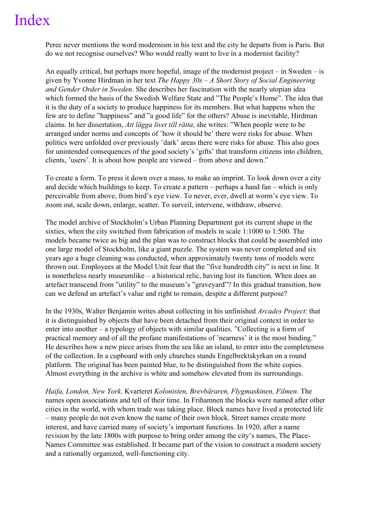### Index

Perec never mentions the word modernism in his text and the city he departs from is Paris. But do we not recognise ourselves? Who would really want to live in a modernist facility?

An equally critical, but perhaps more hopeful, image of the modernist project – in Sweden – is given by Yvonne Hirdman in her text *The Happy 30s – A Short Story of Social Engineering and Gender Order in Sweden*. She describes her fascination with the nearly utopian idea which formed the basis of the Swedish Welfare State and "The People's Home". The idea that it is the duty of a society to produce happiness for its members. But what happens when the few are to define "happiness" and "a good life" for the others? Abuse is inevitable, Hirdman claims. In her dissertation, *Att lägga livet till rätta*, she writes: "When people were to be arranged under norms and concepts of 'how it should be' there were risks for abuse. When politics were unfolded over previously 'dark' areas there were risks for abuse. This also goes for unintended consequences of the good society's 'gifts' that transform citizens into children, clients, 'users'. It is about how people are viewed – from above and down."

To create a form. To press it down over a mass, to make an imprint. To look down over a city and decide which buildings to keep. To create a pattern – perhaps a hand fan – which is only perceivable from above, from bird's eye view. To never, ever, dwell at worm's eye view. To zoom out, scale down, enlarge, scatter. To surveil, intervene, withdraw, observe.

The model archive of Stockholm's Urban Planning Department got its current shape in the sixties, when the city switched from fabrication of models in scale 1:1000 to 1:500. The models became twice as big and the plan was to construct blocks that could be assembled into one large model of Stockholm, like a giant puzzle. The system was never completed and six years ago a huge cleaning was conducted, when approximately twenty tons of models were thrown out. Employees at the Model Unit fear that the "five hundredth city" is next in line. It is nonetheless nearly museumlike – a historical relic, having lost its function. When does an artefact transcend from "utility" to the museum's "graveyard"? In this gradual transition, how can we defend an artefact's value and right to remain, despite a different purpose?

In the 1930s, Walter Benjamin writes about collecting in his unfinished *Arcades Project*: that it is distinguished by objects that have been detached from their original context in order to enter into another – a typology of objects with similar qualities. "Collecting is a form of practical memory and of all the profane manifestations of 'nearness' it is the most binding." He describes how a new piece arises from the sea like an island, to enter into the completeness of the collection. In a cupboard with only churches stands Engelbrektskyrkan on a round platform. The original has been painted blue, to be distinguished from the white copies. Almost everything in the archive is white and somehow elevated from its surroundings.

*Haifa, London, New York*. Kvarteret *Kolonisten, Brevbäraren, Flygmaskinen, Filmen*. The names open associations and tell of their time. In Frihamnen the blocks were named after other cities in the world, with whom trade was taking place. Block names have lived a protected life – many people do not even know the name of their own block. Street names create more interest, and have carried many of society's important functions. In 1920, after a name revision by the late 1800s with purpose to bring order among the city's names, The Place-Names Committee was established. It became part of the vision to construct a modern society and a rationally organized, well-functioning city.